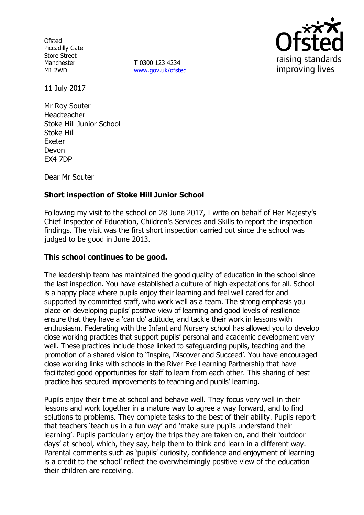**Ofsted** Piccadilly Gate Store Street Manchester M1 2WD

**T** 0300 123 4234 www.gov.uk/ofsted



11 July 2017

Mr Roy Souter Headteacher Stoke Hill Junior School Stoke Hill Exeter Devon EX4 7DP

Dear Mr Souter

# **Short inspection of Stoke Hill Junior School**

Following my visit to the school on 28 June 2017, I write on behalf of Her Majesty's Chief Inspector of Education, Children's Services and Skills to report the inspection findings. The visit was the first short inspection carried out since the school was judged to be good in June 2013.

### **This school continues to be good.**

The leadership team has maintained the good quality of education in the school since the last inspection. You have established a culture of high expectations for all. School is a happy place where pupils enjoy their learning and feel well cared for and supported by committed staff, who work well as a team. The strong emphasis you place on developing pupils' positive view of learning and good levels of resilience ensure that they have a 'can do' attitude, and tackle their work in lessons with enthusiasm. Federating with the Infant and Nursery school has allowed you to develop close working practices that support pupils' personal and academic development very well. These practices include those linked to safeguarding pupils, teaching and the promotion of a shared vision to 'Inspire, Discover and Succeed'. You have encouraged close working links with schools in the River Exe Learning Partnership that have facilitated good opportunities for staff to learn from each other. This sharing of best practice has secured improvements to teaching and pupils' learning.

Pupils enjoy their time at school and behave well. They focus very well in their lessons and work together in a mature way to agree a way forward, and to find solutions to problems. They complete tasks to the best of their ability. Pupils report that teachers 'teach us in a fun way' and 'make sure pupils understand their learning'. Pupils particularly enjoy the trips they are taken on, and their 'outdoor days' at school, which, they say, help them to think and learn in a different way. Parental comments such as 'pupils' curiosity, confidence and enjoyment of learning is a credit to the school' reflect the overwhelmingly positive view of the education their children are receiving.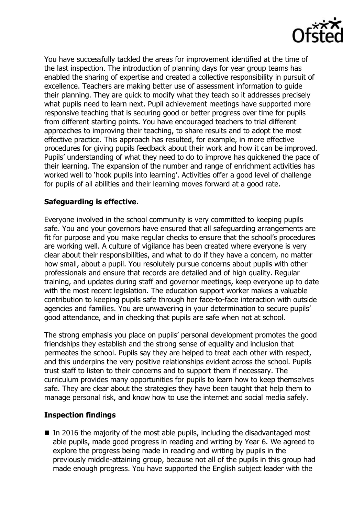

You have successfully tackled the areas for improvement identified at the time of the last inspection. The introduction of planning days for year group teams has enabled the sharing of expertise and created a collective responsibility in pursuit of excellence. Teachers are making better use of assessment information to guide their planning. They are quick to modify what they teach so it addresses precisely what pupils need to learn next. Pupil achievement meetings have supported more responsive teaching that is securing good or better progress over time for pupils from different starting points. You have encouraged teachers to trial different approaches to improving their teaching, to share results and to adopt the most effective practice. This approach has resulted, for example, in more effective procedures for giving pupils feedback about their work and how it can be improved. Pupils' understanding of what they need to do to improve has quickened the pace of their learning. The expansion of the number and range of enrichment activities has worked well to 'hook pupils into learning'. Activities offer a good level of challenge for pupils of all abilities and their learning moves forward at a good rate.

## **Safeguarding is effective.**

Everyone involved in the school community is very committed to keeping pupils safe. You and your governors have ensured that all safeguarding arrangements are fit for purpose and you make regular checks to ensure that the school's procedures are working well. A culture of vigilance has been created where everyone is very clear about their responsibilities, and what to do if they have a concern, no matter how small, about a pupil. You resolutely pursue concerns about pupils with other professionals and ensure that records are detailed and of high quality. Regular training, and updates during staff and governor meetings, keep everyone up to date with the most recent legislation. The education support worker makes a valuable contribution to keeping pupils safe through her face-to-face interaction with outside agencies and families. You are unwavering in your determination to secure pupils' good attendance, and in checking that pupils are safe when not at school.

The strong emphasis you place on pupils' personal development promotes the good friendships they establish and the strong sense of equality and inclusion that permeates the school. Pupils say they are helped to treat each other with respect, and this underpins the very positive relationships evident across the school. Pupils trust staff to listen to their concerns and to support them if necessary. The curriculum provides many opportunities for pupils to learn how to keep themselves safe. They are clear about the strategies they have been taught that help them to manage personal risk, and know how to use the internet and social media safely.

### **Inspection findings**

 $\blacksquare$  In 2016 the majority of the most able pupils, including the disadvantaged most able pupils, made good progress in reading and writing by Year 6. We agreed to explore the progress being made in reading and writing by pupils in the previously middle-attaining group, because not all of the pupils in this group had made enough progress. You have supported the English subject leader with the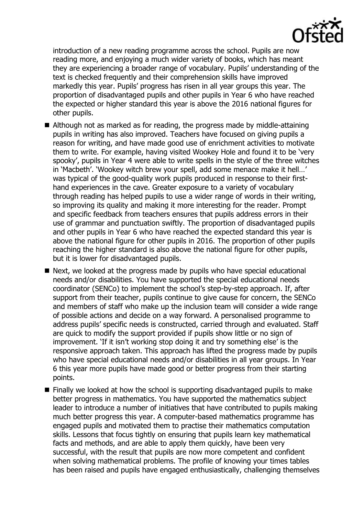

introduction of a new reading programme across the school. Pupils are now reading more, and enjoying a much wider variety of books, which has meant they are experiencing a broader range of vocabulary. Pupils' understanding of the text is checked frequently and their comprehension skills have improved markedly this year. Pupils' progress has risen in all year groups this year. The proportion of disadvantaged pupils and other pupils in Year 6 who have reached the expected or higher standard this year is above the 2016 national figures for other pupils.

- Although not as marked as for reading, the progress made by middle-attaining pupils in writing has also improved. Teachers have focused on giving pupils a reason for writing, and have made good use of enrichment activities to motivate them to write. For example, having visited Wookey Hole and found it to be 'very spooky', pupils in Year 4 were able to write spells in the style of the three witches in 'Macbeth'. 'Wookey witch brew your spell, add some menace make it hell…' was typical of the good-quality work pupils produced in response to their firsthand experiences in the cave. Greater exposure to a variety of vocabulary through reading has helped pupils to use a wider range of words in their writing, so improving its quality and making it more interesting for the reader. Prompt and specific feedback from teachers ensures that pupils address errors in their use of grammar and punctuation swiftly. The proportion of disadvantaged pupils and other pupils in Year 6 who have reached the expected standard this year is above the national figure for other pupils in 2016. The proportion of other pupils reaching the higher standard is also above the national figure for other pupils, but it is lower for disadvantaged pupils.
- Next, we looked at the progress made by pupils who have special educational needs and/or disabilities. You have supported the special educational needs coordinator (SENCo) to implement the school's step-by-step approach. If, after support from their teacher, pupils continue to give cause for concern, the SENCo and members of staff who make up the inclusion team will consider a wide range of possible actions and decide on a way forward. A personalised programme to address pupils' specific needs is constructed, carried through and evaluated. Staff are quick to modify the support provided if pupils show little or no sign of improvement. 'If it isn't working stop doing it and try something else' is the responsive approach taken. This approach has lifted the progress made by pupils who have special educational needs and/or disabilities in all year groups. In Year 6 this year more pupils have made good or better progress from their starting points.
- Finally we looked at how the school is supporting disadvantaged pupils to make better progress in mathematics. You have supported the mathematics subject leader to introduce a number of initiatives that have contributed to pupils making much better progress this year. A computer-based mathematics programme has engaged pupils and motivated them to practise their mathematics computation skills. Lessons that focus tightly on ensuring that pupils learn key mathematical facts and methods, and are able to apply them quickly, have been very successful, with the result that pupils are now more competent and confident when solving mathematical problems. The profile of knowing your times tables has been raised and pupils have engaged enthusiastically, challenging themselves